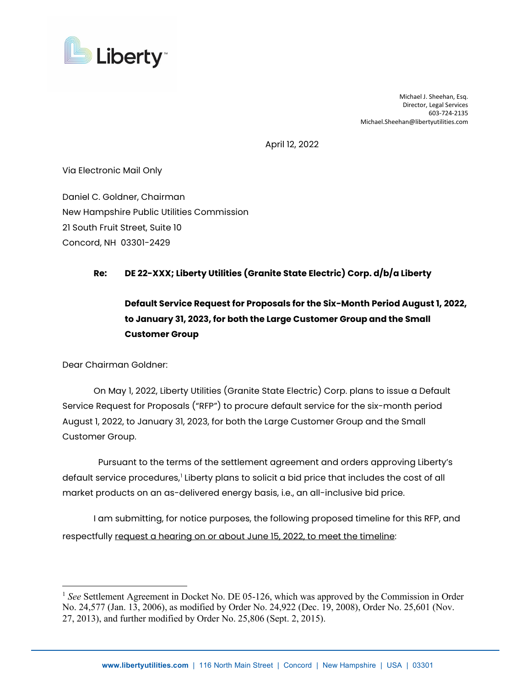

Michael J. Sheehan, Esq. Director, Legal Services 603-724-2135 Michael.Sheehan@libertyutilities.com

April 12, 2022

Via Electronic Mail Only

Daniel C. Goldner, Chairman New Hampshire Public Utilities Commission 21 South Fruit Street, Suite 10 Concord, NH 03301-2429

## **Re: DE 22-XXX; Liberty Utilities (Granite State Electric) Corp. d/b/a Liberty**

## **Default Service Request for Proposals for the Six-Month Period August 1, 2022, to January 31, 2023, for both the Large Customer Group and the Small Customer Group**

Dear Chairman Goldner:

On May 1, 2022, Liberty Utilities (Granite State Electric) Corp. plans to issue a Default Service Request for Proposals ("RFP") to procure default service for the six-month period August 1, 2022, to January 31, 2023, for both the Large Customer Group and the Small Customer Group.

 Pursuant to the terms of the settlement agreement and orders approving Liberty's default service procedures,<sup>[1](#page-0-0)</sup> Liberty plans to solicit a bid price that includes the cost of all market products on an as-delivered energy basis, i.e., an all-inclusive bid price.

I am submitting, for notice purposes, the following proposed timeline for this RFP, and respectfully request a hearing on or about June 15, 2022, to meet the timeline:

<span id="page-0-0"></span><sup>&</sup>lt;sup>1</sup> See Settlement Agreement in Docket No. DE 05-126, which was approved by the Commission in Order No. 24,577 (Jan. 13, 2006), as modified by Order No. 24,922 (Dec. 19, 2008), Order No. 25,601 (Nov. 27, 2013), and further modified by Order No. 25,806 (Sept. 2, 2015).